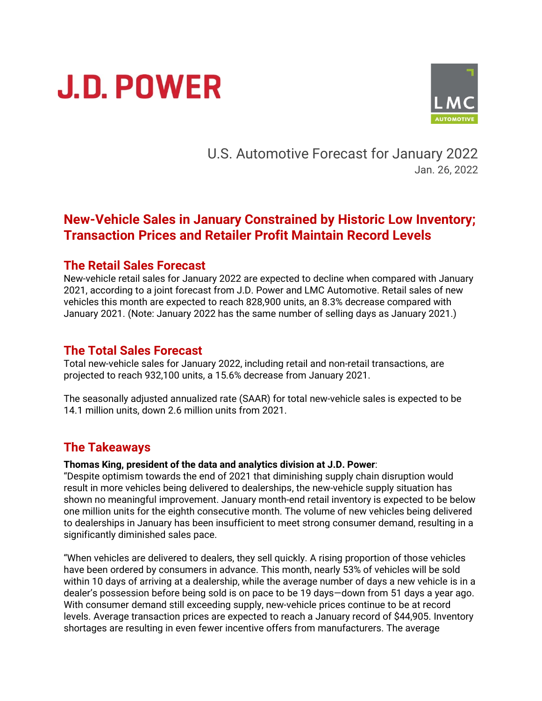# **J.D. POWER**



U.S. Automotive Forecast for January 2022 Jan. 26, 2022

## **New-Vehicle Sales in January Constrained by Historic Low Inventory; Transaction Prices and Retailer Profit Maintain Record Levels**

#### **The Retail Sales Forecast**

New-vehicle retail sales for January 2022 are expected to decline when compared with January 2021, according to a joint forecast from J.D. Power and LMC Automotive. Retail sales of new vehicles this month are expected to reach 828,900 units, an 8.3% decrease compared with January 2021. (Note: January 2022 has the same number of selling days as January 2021.)

#### **The Total Sales Forecast**

Total new-vehicle sales for January 2022, including retail and non-retail transactions, are projected to reach 932,100 units, a 15.6% decrease from January 2021.

The seasonally adjusted annualized rate (SAAR) for total new-vehicle sales is expected to be 14.1 million units, down 2.6 million units from 2021.

## **The Takeaways**

#### **Thomas King, president of the data and analytics division at J.D. Power**:

"Despite optimism towards the end of 2021 that diminishing supply chain disruption would result in more vehicles being delivered to dealerships, the new-vehicle supply situation has shown no meaningful improvement. January month-end retail inventory is expected to be below one million units for the eighth consecutive month. The volume of new vehicles being delivered to dealerships in January has been insufficient to meet strong consumer demand, resulting in a significantly diminished sales pace.

"When vehicles are delivered to dealers, they sell quickly. A rising proportion of those vehicles have been ordered by consumers in advance. This month, nearly 53% of vehicles will be sold within 10 days of arriving at a dealership, while the average number of days a new vehicle is in a dealer's possession before being sold is on pace to be 19 days—down from 51 days a year ago. With consumer demand still exceeding supply, new-vehicle prices continue to be at record levels. Average transaction prices are expected to reach a January record of \$44,905. Inventory shortages are resulting in even fewer incentive offers from manufacturers. The average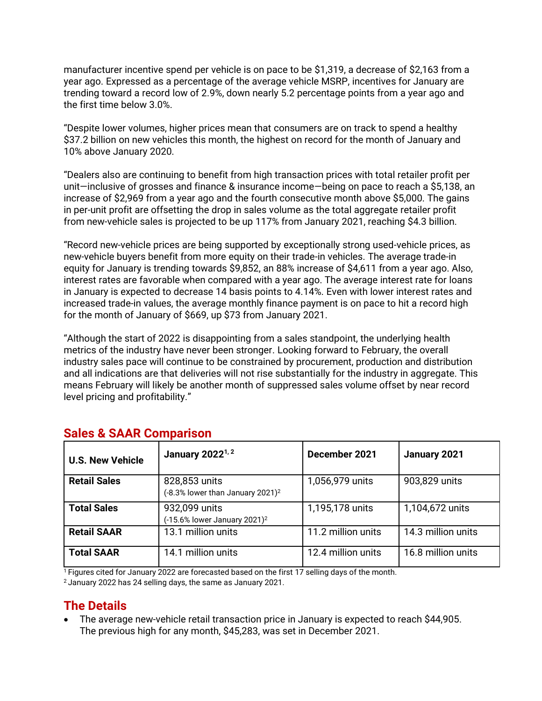manufacturer incentive spend per vehicle is on pace to be \$1,319, a decrease of \$2,163 from a year ago. Expressed as a percentage of the average vehicle MSRP, incentives for January are trending toward a record low of 2.9%, down nearly 5.2 percentage points from a year ago and the first time below 3.0%.

"Despite lower volumes, higher prices mean that consumers are on track to spend a healthy \$37.2 billion on new vehicles this month, the highest on record for the month of January and 10% above January 2020.

"Dealers also are continuing to benefit from high transaction prices with total retailer profit per unit—inclusive of grosses and finance & insurance income—being on pace to reach a \$5,138, an increase of \$2,969 from a year ago and the fourth consecutive month above \$5,000. The gains in per-unit profit are offsetting the drop in sales volume as the total aggregate retailer profit from new-vehicle sales is projected to be up 117% from January 2021, reaching \$4.3 billion.

"Record new-vehicle prices are being supported by exceptionally strong used-vehicle prices, as new-vehicle buyers benefit from more equity on their trade-in vehicles. The average trade-in equity for January is trending towards \$9,852, an 88% increase of \$4,611 from a year ago. Also, interest rates are favorable when compared with a year ago. The average interest rate for loans in January is expected to decrease 14 basis points to 4.14%. Even with lower interest rates and increased trade-in values, the average monthly finance payment is on pace to hit a record high for the month of January of \$669, up \$73 from January 2021.

"Although the start of 2022 is disappointing from a sales standpoint, the underlying health metrics of the industry have never been stronger. Looking forward to February, the overall industry sales pace will continue to be constrained by procurement, production and distribution and all indications are that deliveries will not rise substantially for the industry in aggregate. This means February will likely be another month of suppressed sales volume offset by near record level pricing and profitability."

| <b>U.S. New Vehicle</b> | January 2022 <sup>1, 2</sup>                                  | December 2021      | January 2021       |
|-------------------------|---------------------------------------------------------------|--------------------|--------------------|
| <b>Retail Sales</b>     | 828,853 units<br>(-8.3% lower than January 2021) <sup>2</sup> | 1,056,979 units    | 903,829 units      |
| <b>Total Sales</b>      | 932,099 units<br>(-15.6% lower January 2021) <sup>2</sup>     | 1,195,178 units    | 1,104,672 units    |
| <b>Retail SAAR</b>      | 13.1 million units                                            | 11.2 million units | 14.3 million units |
| <b>Total SAAR</b>       | 14.1 million units                                            | 12.4 million units | 16.8 million units |

## **Sales & SAAR Comparison**

 $1$  Figures cited for January 2022 are forecasted based on the first 17 selling days of the month.

<sup>2</sup> January 2022 has 24 selling days, the same as January 2021.

## **The Details**

• The average new-vehicle retail transaction price in January is expected to reach \$44,905. The previous high for any month, \$45,283, was set in December 2021.